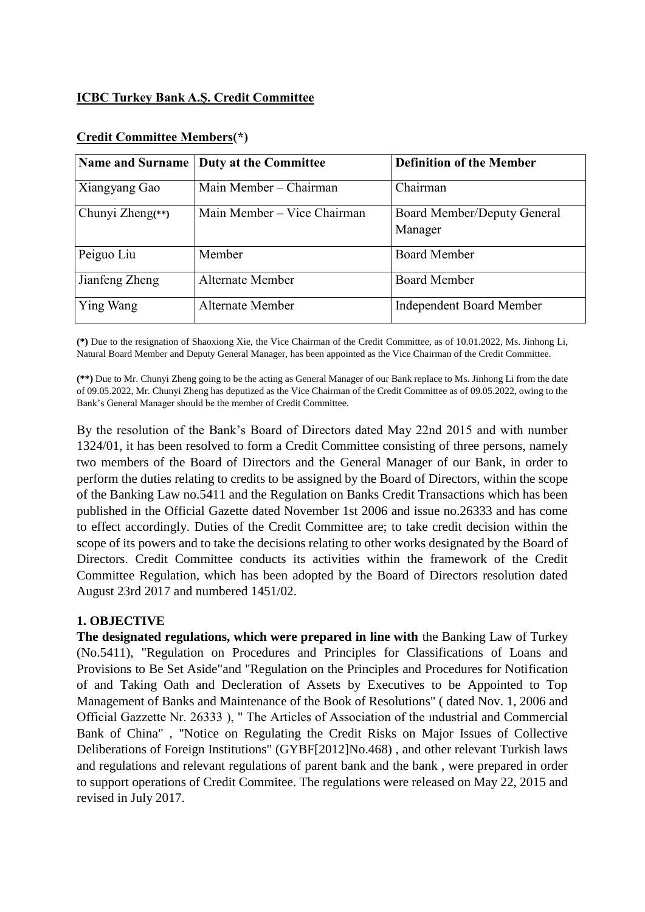## **ICBC Turkey Bank A.Ş. Credit Committee**

| <b>Name and Surname</b> | <b>Duty at the Committee</b> | <b>Definition of the Member</b>        |
|-------------------------|------------------------------|----------------------------------------|
| Xiangyang Gao           | Main Member – Chairman       | Chairman                               |
| Chunyi Zheng(**)        | Main Member - Vice Chairman  | Board Member/Deputy General<br>Manager |
| Peiguo Liu              | Member                       | <b>Board Member</b>                    |
| Jianfeng Zheng          | Alternate Member             | <b>Board Member</b>                    |
| Ying Wang               | Alternate Member             | <b>Independent Board Member</b>        |

#### **Credit Committee Members(\*)**

**(\*)** Due to the resignation of Shaoxiong Xie, the Vice Chairman of the Credit Committee, as of 10.01.2022, Ms. Jinhong Li, Natural Board Member and Deputy General Manager, has been appointed as the Vice Chairman of the Credit Committee.

**(\*\*)** Due to Mr. Chunyi Zheng going to be the acting as General Manager of our Bank replace to Ms. Jinhong Li from the date of 09.05.2022, Mr. Chunyi Zheng has deputized as the Vice Chairman of the Credit Committee as of 09.05.2022, owing to the Bank's General Manager should be the member of Credit Committee.

By the resolution of the Bank's Board of Directors dated May 22nd 2015 and with number 1324/01, it has been resolved to form a Credit Committee consisting of three persons, namely two members of the Board of Directors and the General Manager of our Bank, in order to perform the duties relating to credits to be assigned by the Board of Directors, within the scope of the Banking Law no.5411 and the Regulation on Banks Credit Transactions which has been published in the Official Gazette dated November 1st 2006 and issue no.26333 and has come to effect accordingly. Duties of the Credit Committee are; to take credit decision within the scope of its powers and to take the decisions relating to other works designated by the Board of Directors. Credit Committee conducts its activities within the framework of the Credit Committee Regulation, which has been adopted by the Board of Directors resolution dated August 23rd 2017 and numbered 1451/02.

### **1. OBJECTIVE**

**The designated regulations, which were prepared in line with** the Banking Law of Turkey (No.5411), "Regulation on Procedures and Principles for Classifications of Loans and Provisions to Be Set Aside"and "Regulation on the Principles and Procedures for Notification of and Taking Oath and Decleration of Assets by Executives to be Appointed to Top Management of Banks and Maintenance of the Book of Resolutions" ( dated Nov. 1, 2006 and Official Gazzette Nr. 26333 ), " The Articles of Association of the ındustrial and Commercial Bank of China" , "Notice on Regulating the Credit Risks on Major Issues of Collective Deliberations of Foreign Institutions" (GYBF[2012]No.468) , and other relevant Turkish laws and regulations and relevant regulations of parent bank and the bank , were prepared in order to support operations of Credit Commitee. The regulations were released on May 22, 2015 and revised in July 2017.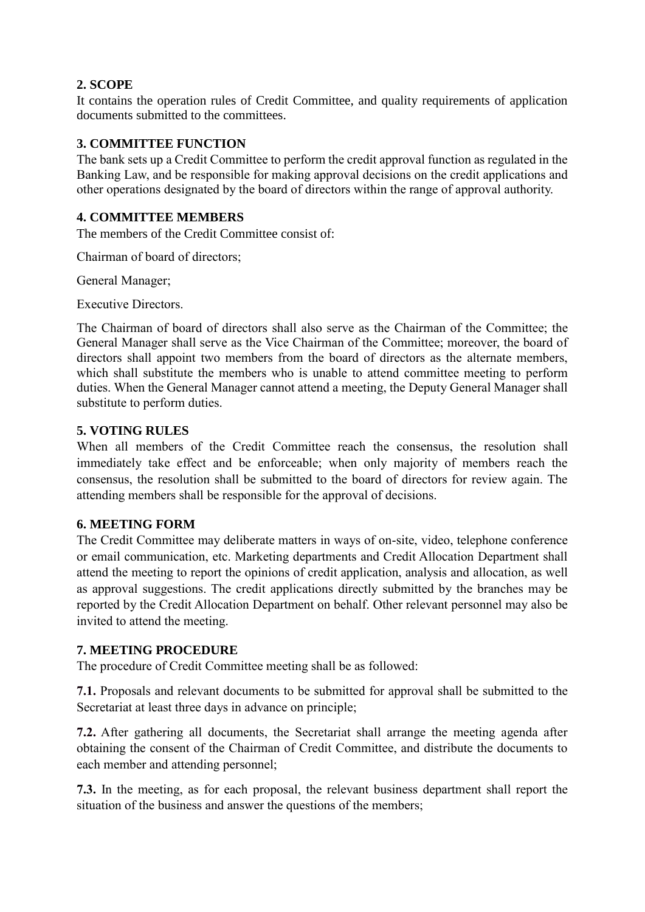# **2. SCOPE**

It contains the operation rules of Credit Committee, and quality requirements of application documents submitted to the committees.

### **3. COMMITTEE FUNCTION**

The bank sets up a Credit Committee to perform the credit approval function as regulated in the Banking Law, and be responsible for making approval decisions on the credit applications and other operations designated by the board of directors within the range of approval authority.

# **4. COMMITTEE MEMBERS**

The members of the Credit Committee consist of:

Chairman of board of directors;

General Manager;

Executive Directors.

The Chairman of board of directors shall also serve as the Chairman of the Committee; the General Manager shall serve as the Vice Chairman of the Committee; moreover, the board of directors shall appoint two members from the board of directors as the alternate members, which shall substitute the members who is unable to attend committee meeting to perform duties. When the General Manager cannot attend a meeting, the Deputy General Manager shall substitute to perform duties.

### **5. VOTING RULES**

When all members of the Credit Committee reach the consensus, the resolution shall immediately take effect and be enforceable; when only majority of members reach the consensus, the resolution shall be submitted to the board of directors for review again. The attending members shall be responsible for the approval of decisions.

### **6. MEETING FORM**

The Credit Committee may deliberate matters in ways of on-site, video, telephone conference or email communication, etc. Marketing departments and Credit Allocation Department shall attend the meeting to report the opinions of credit application, analysis and allocation, as well as approval suggestions. The credit applications directly submitted by the branches may be reported by the Credit Allocation Department on behalf. Other relevant personnel may also be invited to attend the meeting.

### **7. MEETING PROCEDURE**

The procedure of Credit Committee meeting shall be as followed:

**7.1.** Proposals and relevant documents to be submitted for approval shall be submitted to the Secretariat at least three days in advance on principle;

**7.2.** After gathering all documents, the Secretariat shall arrange the meeting agenda after obtaining the consent of the Chairman of Credit Committee, and distribute the documents to each member and attending personnel;

**7.3.** In the meeting, as for each proposal, the relevant business department shall report the situation of the business and answer the questions of the members;